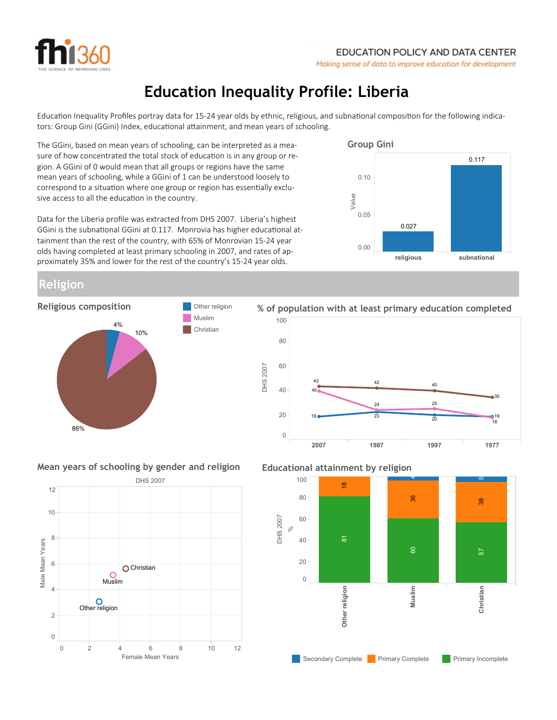

# Education Inequality Profile: Liberia

Education Inequality Profiles portray data for 15-24 year olds by ethnic, religious, and subnational composition for the following indicators: Group Gini (GGini) Index, educational attainment, and mean years of schooling.

The GGini, based on mean years of schooling, can be interpreted as a measure of how concentrated the total stock of education is in any group or region. A GGini of 0 would mean that all groups or regions have the same mean years of schooling, while a GGini of 1 can be understood loosely to correspond to a situation where one group or region has essentially exclusive access to all the education in the country.

Data for the Liberia profile was extracted from DHS 2007. Liberia's highest GGini is the subnational GGini at 0.117. Monrovia has higher educational attainment than the rest of the country, with 65% of Monrovian 15-24 year olds having completed at least primary schooling in 2007, and rates of approximately 35% and lower for the rest of the country's 15-24 year olds.

Muslim



## Religion



#### 2007 1987 1997 1977 DHS 2007 0 20 40 60 80 100 24 25 40  $40 -$ 42  $20$ 35 19 23 19 43 1<sub>8</sub> % of population with at least primary education completed

Mean years of schooling by gender and religion



### Educational attainment by religion